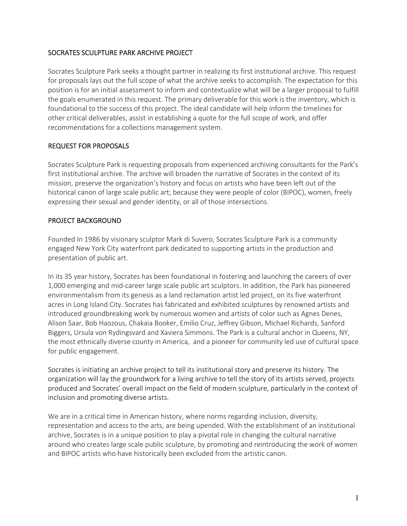# SOCRATES SCULPTURE PARK ARCHIVE PROJECT

Socrates Sculpture Park seeks a thought partner in realizing its first institutional archive. This request for proposals lays out the full scope of what the archive seeks to accomplish. The expectation for this position is for an initial assessment to inform and contextualize what will be a larger proposal to fulfill the goals enumerated in this request. The primary deliverable for this work is the inventory, which is foundational to the success of this project. The ideal candidate will help inform the timelines for other critical deliverables, assist in establishing a quote for the full scope of work, and offer recommendations for a collections management system.

## REQUEST FOR PROPOSALS

Socrates Sculpture Park is requesting proposals from experienced archiving consultants for the Park's first institutional archive. The archive will broaden the narrative of Socrates in the context of its mission, preserve the organization's history and focus on artists who have been left out of the historical canon of large scale public art; because they were people of color (BIPOC), women, freely expressing their sexual and gender identity, or all of those intersections.

# PROJECT BACKGROUND

Founded In 1986 by visionary sculptor Mark di Suvero, Socrates Sculpture Park is a community engaged New York City waterfront park dedicated to supporting artists in the production and presentation of public art.

In its 35 year history, Socrates has been foundational in fostering and launching the careers of over 1,000 emerging and mid-career large scale public art sculptors. In addition, the Park has pioneered environmentalism from its genesis as a land reclamation artist led project, on its five waterfront acres in Long Island City. Socrates has fabricated and exhibited sculptures by renowned artists and introduced groundbreaking work by numerous women and artists of color such as Agnes Denes, Alison Saar, Bob Haozous, Chakaia Booker, Emilio Cruz, Jeffrey Gibson, Michael Richards, Sanford Biggers, Ursula von Rydingsvard and Xaviera Simmons. The Park is a cultural anchor in Queens, NY, the most ethnically diverse county in America, and a pioneer for community led use of cultural space for public engagement.

Socrates is initiating an archive project to tell its institutional story and preserve its history. The organization will lay the groundwork for a living archive to tell the story of its artists served, projects produced and Socrates' overall impact on the field of modern sculpture, particularly in the context of inclusion and promoting diverse artists.

We are in a critical time in American history, where norms regarding inclusion, diversity, representation and access to the arts, are being upended. With the establishment of an institutional archive, Socrates is in a unique position to play a pivotal role in changing the cultural narrative around who creates large scale public sculpture, by promoting and reintroducing the work of women and BIPOC artists who have historically been excluded from the artistic canon.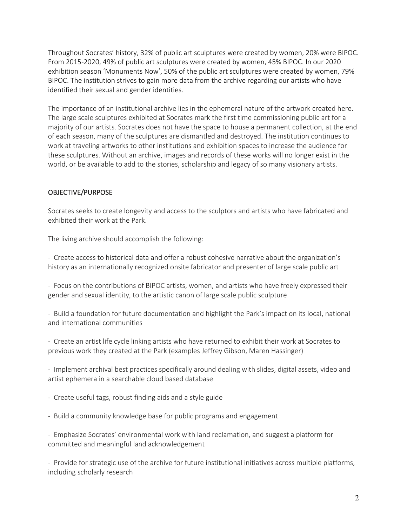Throughout Socrates' history, 32% of public art sculptures were created by women, 20% were BIPOC. From 2015-2020, 49% of public art sculptures were created by women, 45% BIPOC. In our 2020 exhibition season 'Monuments Now', 50% of the public art sculptures were created by women, 79% BIPOC. The institution strives to gain more data from the archive regarding our artists who have identified their sexual and gender identities.

The importance of an institutional archive lies in the ephemeral nature of the artwork created here. The large scale sculptures exhibited at Socrates mark the first time commissioning public art for a majority of our artists. Socrates does not have the space to house a permanent collection, at the end of each season, many of the sculptures are dismantled and destroyed. The institution continues to work at traveling artworks to other institutions and exhibition spaces to increase the audience for these sculptures. Without an archive, images and records of these works will no longer exist in the world, or be available to add to the stories, scholarship and legacy of so many visionary artists.

## OBJECTIVE/PURPOSE

Socrates seeks to create longevity and access to the sculptors and artists who have fabricated and exhibited their work at the Park.

The living archive should accomplish the following:

- Create access to historical data and offer a robust cohesive narrative about the organization's history as an internationally recognized onsite fabricator and presenter of large scale public art

- Focus on the contributions of BIPOC artists, women, and artists who have freely expressed their gender and sexual identity, to the artistic canon of large scale public sculpture

- Build a foundation for future documentation and highlight the Park's impact on its local, national and international communities

- Create an artist life cycle linking artists who have returned to exhibit their work at Socrates to previous work they created at the Park (examples Jeffrey Gibson, Maren Hassinger)

- Implement archival best practices specifically around dealing with slides, digital assets, video and artist ephemera in a searchable cloud based database

- Create useful tags, robust finding aids and a style guide
- Build a community knowledge base for public programs and engagement

- Emphasize Socrates' environmental work with land reclamation, and suggest a platform for committed and meaningful land acknowledgement

- Provide for strategic use of the archive for future institutional initiatives across multiple platforms, including scholarly research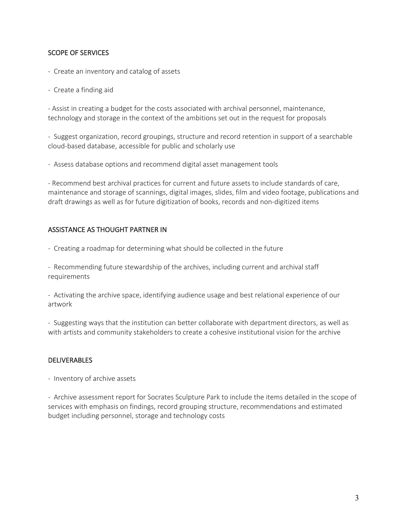## SCOPE OF SERVICES

- Create an inventory and catalog of assets
- Create a finding aid

- Assist in creating a budget for the costs associated with archival personnel, maintenance, technology and storage in the context of the ambitions set out in the request for proposals

- Suggest organization, record groupings, structure and record retention in support of a searchable cloud-based database, accessible for public and scholarly use

- Assess database options and recommend digital asset management tools

- Recommend best archival practices for current and future assets to include standards of care, maintenance and storage of scannings, digital images, slides, film and video footage, publications and draft drawings as well as for future digitization of books, records and non-digitized items

## ASSISTANCE AS THOUGHT PARTNER IN

- Creating a roadmap for determining what should be collected in the future

- Recommending future stewardship of the archives, including current and archival staff requirements

- Activating the archive space, identifying audience usage and best relational experience of our artwork

- Suggesting ways that the institution can better collaborate with department directors, as well as with artists and community stakeholders to create a cohesive institutional vision for the archive

#### DELIVERABLES

- Inventory of archive assets

- Archive assessment report for Socrates Sculpture Park to include the items detailed in the scope of services with emphasis on findings, record grouping structure, recommendations and estimated budget including personnel, storage and technology costs